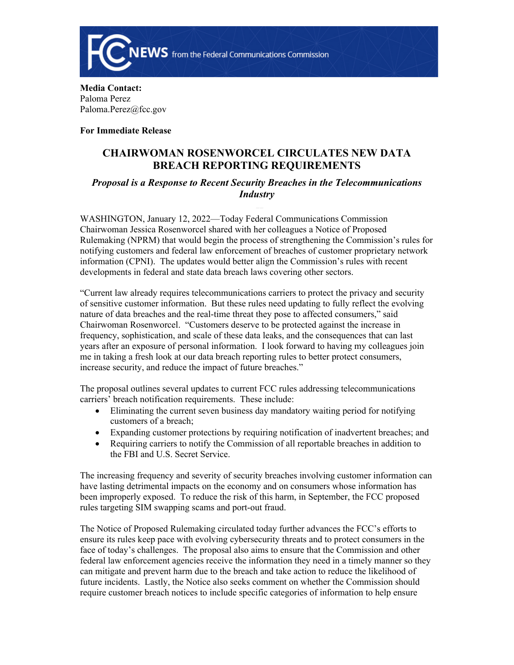

**Media Contact:**  Paloma Perez Paloma.Perez@fcc.gov

**For Immediate Release**

## **CHAIRWOMAN ROSENWORCEL CIRCULATES NEW DATA BREACH REPORTING REQUIREMENTS**

## *Proposal is a Response to Recent Security Breaches in the Telecommunications Industry*

WASHINGTON, January 12, 2022—Today Federal Communications Commission Chairwoman Jessica Rosenworcel shared with her colleagues a Notice of Proposed Rulemaking (NPRM) that would begin the process of strengthening the Commission's rules for notifying customers and federal law enforcement of breaches of customer proprietary network information (CPNI). The updates would better align the Commission's rules with recent developments in federal and state data breach laws covering other sectors.

"Current law already requires telecommunications carriers to protect the privacy and security of sensitive customer information. But these rules need updating to fully reflect the evolving nature of data breaches and the real-time threat they pose to affected consumers," said Chairwoman Rosenworcel. "Customers deserve to be protected against the increase in frequency, sophistication, and scale of these data leaks, and the consequences that can last years after an exposure of personal information. I look forward to having my colleagues join me in taking a fresh look at our data breach reporting rules to better protect consumers, increase security, and reduce the impact of future breaches."

The proposal outlines several updates to current FCC rules addressing telecommunications carriers' breach notification requirements. These include:

- Eliminating the current seven business day mandatory waiting period for notifying customers of a breach;
- Expanding customer protections by requiring notification of inadvertent breaches; and
- Requiring carriers to notify the Commission of all reportable breaches in addition to the FBI and U.S. Secret Service.

The increasing frequency and severity of security breaches involving customer information can have lasting detrimental impacts on the economy and on consumers whose information has been improperly exposed. To reduce the risk of this harm, in September, the FCC proposed rules targeting SIM swapping scams and port-out fraud.

The Notice of Proposed Rulemaking circulated today further advances the FCC's efforts to ensure its rules keep pace with evolving cybersecurity threats and to protect consumers in the face of today's challenges. The proposal also aims to ensure that the Commission and other federal law enforcement agencies receive the information they need in a timely manner so they can mitigate and prevent harm due to the breach and take action to reduce the likelihood of future incidents. Lastly, the Notice also seeks comment on whether the Commission should require customer breach notices to include specific categories of information to help ensure